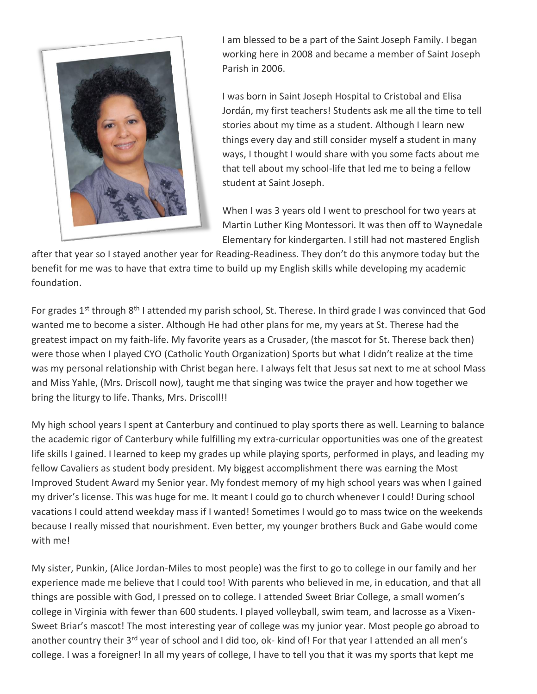

I am blessed to be a part of the Saint Joseph Family. I began working here in 2008 and became a member of Saint Joseph Parish in 2006.

I was born in Saint Joseph Hospital to Cristobal and Elisa Jordán, my first teachers! Students ask me all the time to tell stories about my time as a student. Although I learn new things every day and still consider myself a student in many ways, I thought I would share with you some facts about me that tell about my school-life that led me to being a fellow student at Saint Joseph.

When I was 3 years old I went to preschool for two years at Martin Luther King Montessori. It was then off to Waynedale Elementary for kindergarten. I still had not mastered English

after that year so I stayed another year for Reading-Readiness. They don't do this anymore today but the benefit for me was to have that extra time to build up my English skills while developing my academic foundation.

For grades 1<sup>st</sup> through 8<sup>th</sup> I attended my parish school, St. Therese. In third grade I was convinced that God wanted me to become a sister. Although He had other plans for me, my years at St. Therese had the greatest impact on my faith-life. My favorite years as a Crusader, (the mascot for St. Therese back then) were those when I played CYO (Catholic Youth Organization) Sports but what I didn't realize at the time was my personal relationship with Christ began here. I always felt that Jesus sat next to me at school Mass and Miss Yahle, (Mrs. Driscoll now), taught me that singing was twice the prayer and how together we bring the liturgy to life. Thanks, Mrs. Driscoll!!

My high school years I spent at Canterbury and continued to play sports there as well. Learning to balance the academic rigor of Canterbury while fulfilling my extra-curricular opportunities was one of the greatest life skills I gained. I learned to keep my grades up while playing sports, performed in plays, and leading my fellow Cavaliers as student body president. My biggest accomplishment there was earning the Most Improved Student Award my Senior year. My fondest memory of my high school years was when I gained my driver's license. This was huge for me. It meant I could go to church whenever I could! During school vacations I could attend weekday mass if I wanted! Sometimes I would go to mass twice on the weekends because I really missed that nourishment. Even better, my younger brothers Buck and Gabe would come with me!

My sister, Punkin, (Alice Jordan-Miles to most people) was the first to go to college in our family and her experience made me believe that I could too! With parents who believed in me, in education, and that all things are possible with God, I pressed on to college. I attended Sweet Briar College, a small women's college in Virginia with fewer than 600 students. I played volleyball, swim team, and lacrosse as a Vixen-Sweet Briar's mascot! The most interesting year of college was my junior year. Most people go abroad to another country their 3<sup>rd</sup> year of school and I did too, ok- kind of! For that year I attended an all men's college. I was a foreigner! In all my years of college, I have to tell you that it was my sports that kept me